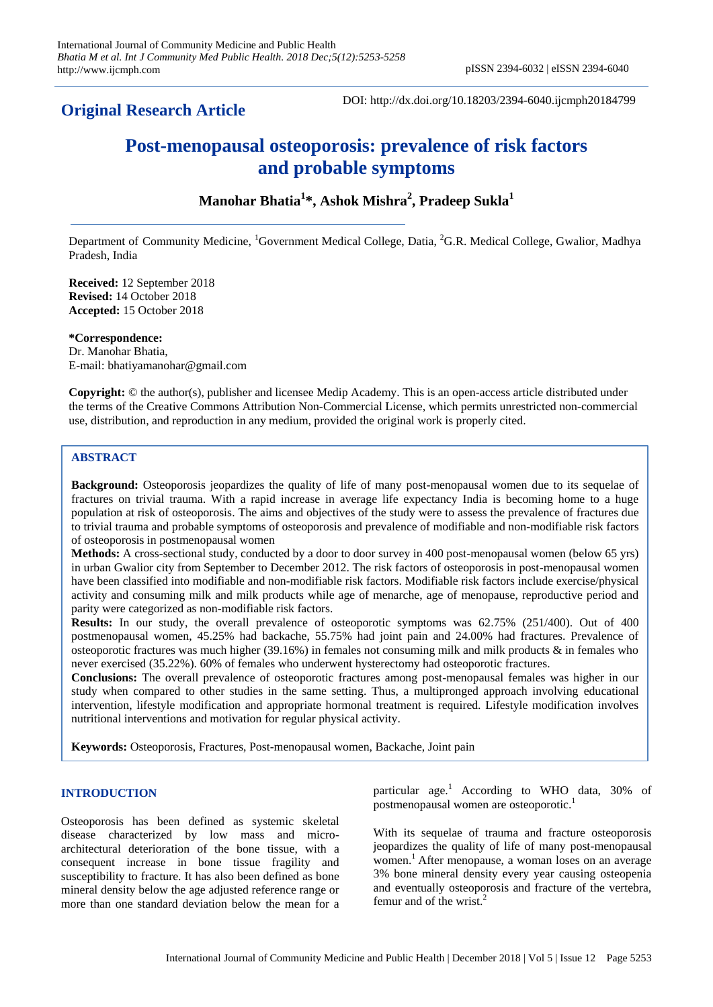# **Original Research Article**

DOI: http://dx.doi.org/10.18203/2394-6040.ijcmph20184799

# **Post-menopausal osteoporosis: prevalence of risk factors and probable symptoms**

# **Manohar Bhatia<sup>1</sup> \*, Ashok Mishra<sup>2</sup> , Pradeep Sukla<sup>1</sup>**

Department of Community Medicine, <sup>1</sup>Government Medical College, Datia, <sup>2</sup>G.R. Medical College, Gwalior, Madhya Pradesh, India

**Received:** 12 September 2018 **Revised:** 14 October 2018 **Accepted:** 15 October 2018

**\*Correspondence:** Dr. Manohar Bhatia, E-mail: bhatiyamanohar@gmail.com

**Copyright:** © the author(s), publisher and licensee Medip Academy. This is an open-access article distributed under the terms of the Creative Commons Attribution Non-Commercial License, which permits unrestricted non-commercial use, distribution, and reproduction in any medium, provided the original work is properly cited.

## **ABSTRACT**

**Background:** Osteoporosis jeopardizes the quality of life of many post-menopausal women due to its sequelae of fractures on trivial trauma. With a rapid increase in average life expectancy India is becoming home to a huge population at risk of osteoporosis. The aims and objectives of the study were to assess the prevalence of fractures due to trivial trauma and probable symptoms of osteoporosis and prevalence of modifiable and non-modifiable risk factors of osteoporosis in postmenopausal women

**Methods:** A cross-sectional study, conducted by a door to door survey in 400 post-menopausal women (below 65 yrs) in urban Gwalior city from September to December 2012. The risk factors of osteoporosis in post-menopausal women have been classified into modifiable and non-modifiable risk factors. Modifiable risk factors include exercise/physical activity and consuming milk and milk products while age of menarche, age of menopause, reproductive period and parity were categorized as non-modifiable risk factors.

**Results:** In our study, the overall prevalence of osteoporotic symptoms was 62.75% (251/400). Out of 400 postmenopausal women, 45.25% had backache, 55.75% had joint pain and 24.00% had fractures. Prevalence of osteoporotic fractures was much higher (39.16%) in females not consuming milk and milk products  $\&$  in females who never exercised (35.22%). 60% of females who underwent hysterectomy had osteoporotic fractures.

**Conclusions:** The overall prevalence of osteoporotic fractures among post-menopausal females was higher in our study when compared to other studies in the same setting. Thus, a multipronged approach involving educational intervention, lifestyle modification and appropriate hormonal treatment is required. Lifestyle modification involves nutritional interventions and motivation for regular physical activity.

**Keywords:** Osteoporosis, Fractures, Post-menopausal women, Backache, Joint pain

#### **INTRODUCTION**

Osteoporosis has been defined as systemic skeletal disease characterized by low mass and microarchitectural deterioration of the bone tissue, with a consequent increase in bone tissue fragility and susceptibility to fracture. It has also been defined as bone mineral density below the age adjusted reference range or more than one standard deviation below the mean for a particular age.<sup>1</sup> According to WHO data, 30% of postmenopausal women are osteoporotic.<sup>1</sup>

With its sequelae of trauma and fracture osteoporosis jeopardizes the quality of life of many post-menopausal women.<sup>1</sup> After menopause, a woman loses on an average 3% bone mineral density every year causing osteopenia and eventually osteoporosis and fracture of the vertebra, femur and of the wrist. $^{2}$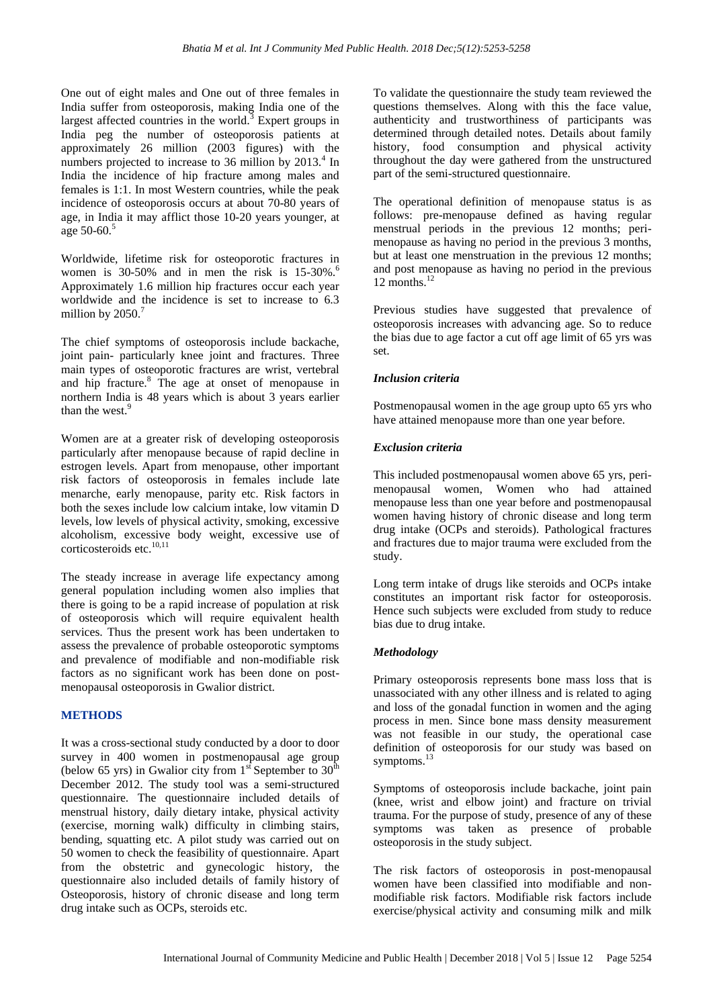One out of eight males and One out of three females in India suffer from osteoporosis, making India one of the largest affected countries in the world. $3$  Expert groups in India peg the number of osteoporosis patients at approximately 26 million (2003 figures) with the numbers projected to increase to 36 million by  $2013.<sup>4</sup>$  In India the incidence of hip fracture among males and females is 1:1. In most Western countries, while the peak incidence of osteoporosis occurs at about 70-80 years of age, in India it may afflict those 10-20 years younger, at age  $50-60$ .<sup>5</sup>

Worldwide, lifetime risk for osteoporotic fractures in women is  $30-50\%$  and in men the risk is  $15-30\%$ .<sup>6</sup> Approximately 1.6 million hip fractures occur each year worldwide and the incidence is set to increase to 6.3 million by  $2050$ .<sup>7</sup>

The chief symptoms of osteoporosis include backache, joint pain- particularly knee joint and fractures. Three main types of osteoporotic fractures are wrist, vertebral and hip fracture.<sup>8</sup> The age at onset of menopause in northern India is 48 years which is about 3 years earlier than the west.<sup>9</sup>

Women are at a greater risk of developing osteoporosis particularly after menopause because of rapid decline in estrogen levels. Apart from menopause, other important risk factors of osteoporosis in females include late menarche, early menopause, parity etc. Risk factors in both the sexes include low calcium intake, low vitamin D levels, low levels of physical activity, smoking, excessive alcoholism, excessive body weight, excessive use of corticosteroids etc.<sup>10,11</sup>

The steady increase in average life expectancy among general population including women also implies that there is going to be a rapid increase of population at risk of osteoporosis which will require equivalent health services. Thus the present work has been undertaken to assess the prevalence of probable osteoporotic symptoms and prevalence of modifiable and non-modifiable risk factors as no significant work has been done on postmenopausal osteoporosis in Gwalior district.

# **METHODS**

It was a cross-sectional study conducted by a door to door survey in 400 women in postmenopausal age group (below 65 yrs) in Gwalior city from  $1<sup>st</sup>$  September to  $30<sup>th</sup>$ December 2012. The study tool was a semi-structured questionnaire. The questionnaire included details of menstrual history, daily dietary intake, physical activity (exercise, morning walk) difficulty in climbing stairs, bending, squatting etc. A pilot study was carried out on 50 women to check the feasibility of questionnaire. Apart from the obstetric and gynecologic history, the questionnaire also included details of family history of Osteoporosis, history of chronic disease and long term drug intake such as OCPs, steroids etc.

To validate the questionnaire the study team reviewed the questions themselves. Along with this the face value, authenticity and trustworthiness of participants was determined through detailed notes. Details about family history, food consumption and physical activity throughout the day were gathered from the unstructured part of the semi-structured questionnaire.

The operational definition of menopause status is as follows: pre-menopause defined as having regular menstrual periods in the previous 12 months; perimenopause as having no period in the previous 3 months, but at least one menstruation in the previous 12 months; and post menopause as having no period in the previous  $12$  months.<sup>12</sup>

Previous studies have suggested that prevalence of osteoporosis increases with advancing age. So to reduce the bias due to age factor a cut off age limit of 65 yrs was set.

#### *Inclusion criteria*

Postmenopausal women in the age group upto 65 yrs who have attained menopause more than one year before.

## *Exclusion criteria*

This included postmenopausal women above 65 yrs, perimenopausal women, Women who had attained menopause less than one year before and postmenopausal women having history of chronic disease and long term drug intake (OCPs and steroids). Pathological fractures and fractures due to major trauma were excluded from the study.

Long term intake of drugs like steroids and OCPs intake constitutes an important risk factor for osteoporosis. Hence such subjects were excluded from study to reduce bias due to drug intake.

# *Methodology*

Primary osteoporosis represents bone mass loss that is unassociated with any other illness and is related to aging and loss of the gonadal function in women and the aging process in men. Since bone mass density measurement was not feasible in our study, the operational case definition of osteoporosis for our study was based on symptoms. $<sup>1</sup>$ </sup>

Symptoms of osteoporosis include backache, joint pain (knee, wrist and elbow joint) and fracture on trivial trauma. For the purpose of study, presence of any of these symptoms was taken as presence of probable osteoporosis in the study subject.

The risk factors of osteoporosis in post-menopausal women have been classified into modifiable and nonmodifiable risk factors. Modifiable risk factors include exercise/physical activity and consuming milk and milk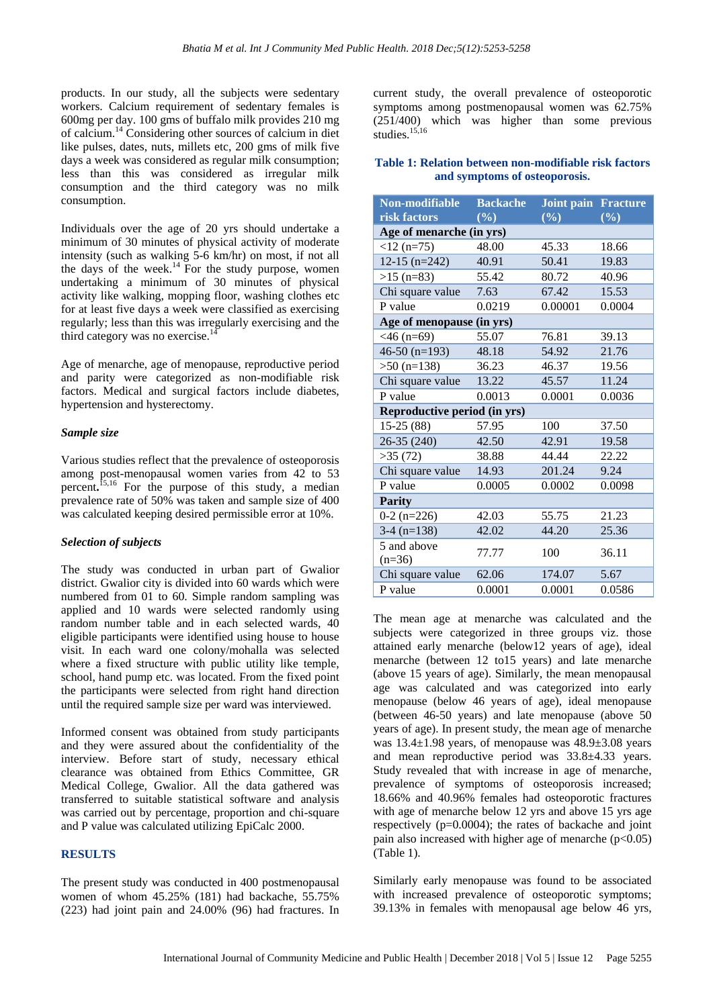products. In our study, all the subjects were sedentary workers. Calcium requirement of sedentary females is 600mg per day. 100 gms of buffalo milk provides 210 mg of calcium.<sup>14</sup> Considering other sources of calcium in diet like pulses, dates, nuts, millets etc, 200 gms of milk five days a week was considered as regular milk consumption; less than this was considered as irregular milk consumption and the third category was no milk consumption.

Individuals over the age of 20 yrs should undertake a minimum of 30 minutes of physical activity of moderate intensity (such as walking 5-6 km/hr) on most, if not all the days of the week.<sup>14</sup> For the study purpose, women undertaking a minimum of 30 minutes of physical activity like walking, mopping floor, washing clothes etc for at least five days a week were classified as exercising regularly; less than this was irregularly exercising and the third category was no exercise.<sup>1</sup>

Age of menarche, age of menopause, reproductive period and parity were categorized as non-modifiable risk factors. Medical and surgical factors include diabetes, hypertension and hysterectomy.

#### *Sample size*

Various studies reflect that the prevalence of osteoporosis among post-menopausal women varies from 42 to 53 percent**.** 15,16 For the purpose of this study, a median prevalence rate of 50% was taken and sample size of 400 was calculated keeping desired permissible error at 10%.

#### *Selection of subjects*

The study was conducted in urban part of Gwalior district. Gwalior city is divided into 60 wards which were numbered from 01 to 60. Simple random sampling was applied and 10 wards were selected randomly using random number table and in each selected wards, 40 eligible participants were identified using house to house visit. In each ward one colony/mohalla was selected where a fixed structure with public utility like temple, school, hand pump etc. was located. From the fixed point the participants were selected from right hand direction until the required sample size per ward was interviewed.

Informed consent was obtained from study participants and they were assured about the confidentiality of the interview. Before start of study, necessary ethical clearance was obtained from Ethics Committee, GR Medical College, Gwalior. All the data gathered was transferred to suitable statistical software and analysis was carried out by percentage, proportion and chi-square and P value was calculated utilizing EpiCalc 2000.

#### **RESULTS**

The present study was conducted in 400 postmenopausal women of whom 45.25% (181) had backache, 55.75% (223) had joint pain and 24.00% (96) had fractures. In current study, the overall prevalence of osteoporotic symptoms among postmenopausal women was 62.75% (251/400) which was higher than some previous studies.<sup>15,16</sup>

#### **Table 1: Relation between non-modifiable risk factors and symptoms of osteoporosis.**

| Non-modifiable               | <b>Backache</b> | Joint pain | <b>Fracture</b> |  |  |  |
|------------------------------|-----------------|------------|-----------------|--|--|--|
| risk factors                 | $($ %)          | $($ %)     | $($ %)          |  |  |  |
| Age of menarche (in yrs)     |                 |            |                 |  |  |  |
| $<$ 12 (n=75)                | 48.00           | 45.33      | 18.66           |  |  |  |
| $12-15$ (n=242)              | 40.91           | 50.41      | 19.83           |  |  |  |
| $>15$ (n=83)                 | 55.42           | 80.72      | 40.96           |  |  |  |
| Chi square value             | 7.63            | 67.42      | 15.53           |  |  |  |
| P value                      | 0.0219          | 0.00001    | 0.0004          |  |  |  |
| Age of menopause (in yrs)    |                 |            |                 |  |  |  |
| $<46$ (n=69)                 | 55.07           | 76.81      | 39.13           |  |  |  |
| $46-50$ (n=193)              | 48.18           | 54.92      | 21.76           |  |  |  |
| $>50$ (n=138)                | 36.23           | 46.37      | 19.56           |  |  |  |
| Chi square value             | 13.22           | 45.57      | 11.24           |  |  |  |
| P value                      | 0.0013          | 0.0001     | 0.0036          |  |  |  |
| Reproductive period (in yrs) |                 |            |                 |  |  |  |
| $15-25(88)$                  | 57.95           | 100        | 37.50           |  |  |  |
| 26-35 (240)                  | 42.50           | 42.91      | 19.58           |  |  |  |
| >35(72)                      | 38.88           | 44.44      | 22.22           |  |  |  |
| Chi square value             | 14.93           | 201.24     | 9.24            |  |  |  |
| P value                      | 0.0005          | 0.0002     | 0.0098          |  |  |  |
| <b>Parity</b>                |                 |            |                 |  |  |  |
| $0-2(n=226)$                 | 42.03           | 55.75      | 21.23           |  |  |  |
| $3-4$ (n=138)                | 42.02           | 44.20      | 25.36           |  |  |  |
| 5 and above                  |                 | 100        | 36.11           |  |  |  |
| $(n=36)$                     | 77.77           |            |                 |  |  |  |
| Chi square value             | 62.06           | 174.07     | 5.67            |  |  |  |
| P value                      | 0.0001          | 0.0001     | 0.0586          |  |  |  |

The mean age at menarche was calculated and the subjects were categorized in three groups viz. those attained early menarche (below12 years of age), ideal menarche (between 12 to15 years) and late menarche (above 15 years of age). Similarly, the mean menopausal age was calculated and was categorized into early menopause (below 46 years of age), ideal menopause (between 46-50 years) and late menopause (above 50 years of age). In present study, the mean age of menarche was 13.4±1.98 years, of menopause was 48.9±3.08 years and mean reproductive period was 33.8±4.33 years. Study revealed that with increase in age of menarche, prevalence of symptoms of osteoporosis increased; 18.66% and 40.96% females had osteoporotic fractures with age of menarche below 12 yrs and above 15 yrs age respectively (p=0.0004); the rates of backache and joint pain also increased with higher age of menarche  $(p<0.05)$ (Table 1).

Similarly early menopause was found to be associated with increased prevalence of osteoporotic symptoms; 39.13% in females with menopausal age below 46 yrs,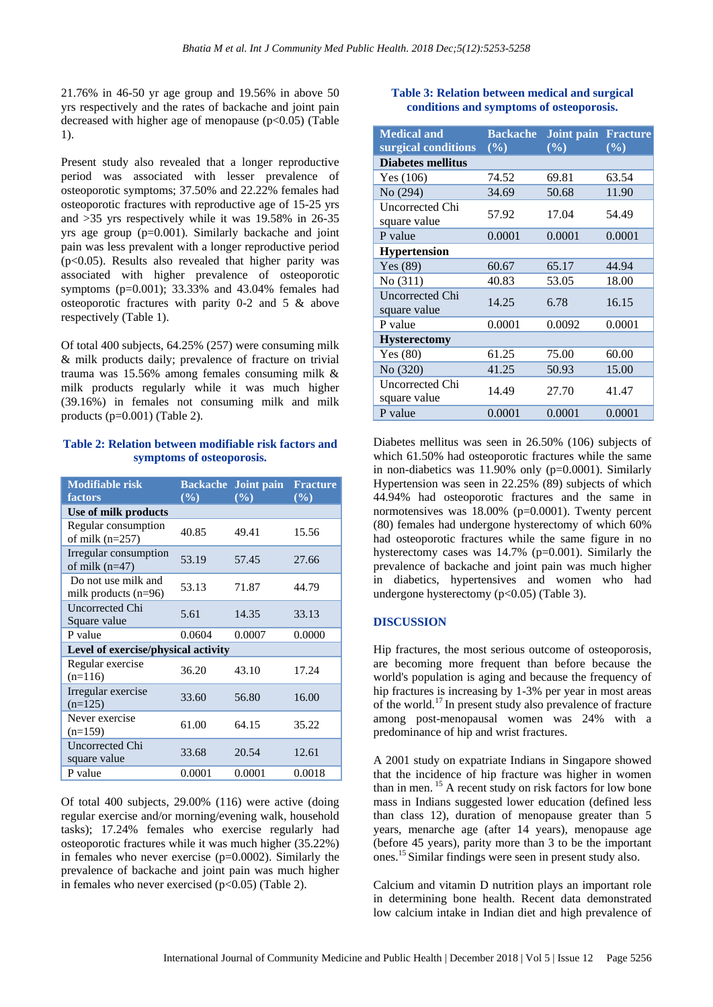21.76% in 46-50 yr age group and 19.56% in above 50 yrs respectively and the rates of backache and joint pain decreased with higher age of menopause  $(p<0.05)$  (Table 1).

Present study also revealed that a longer reproductive period was associated with lesser prevalence of osteoporotic symptoms; 37.50% and 22.22% females had osteoporotic fractures with reproductive age of 15-25 yrs and >35 yrs respectively while it was 19.58% in 26-35 yrs age group (p=0.001). Similarly backache and joint pain was less prevalent with a longer reproductive period  $(p<0.05)$ . Results also revealed that higher parity was associated with higher prevalence of osteoporotic symptoms (p=0.001); 33.33% and 43.04% females had osteoporotic fractures with parity 0-2 and 5 & above respectively (Table 1).

Of total 400 subjects, 64.25% (257) were consuming milk & milk products daily; prevalence of fracture on trivial trauma was 15.56% among females consuming milk & milk products regularly while it was much higher (39.16%) in females not consuming milk and milk products  $(p=0.001)$  (Table 2).

#### **Table 2: Relation between modifiable risk factors and symptoms of osteoporosis.**

| <b>Modifiable risk</b><br>factors             | <b>Backache</b><br>$($ %) | Joint pain<br>(%) | <b>Fracture</b><br>(%) |  |  |
|-----------------------------------------------|---------------------------|-------------------|------------------------|--|--|
| Use of milk products                          |                           |                   |                        |  |  |
| Regular consumption<br>of milk $(n=257)$      | 40.85                     | 49.41             | 15.56                  |  |  |
| Irregular consumption<br>of milk $(n=47)$     | 53.19                     | 57.45             | 27.66                  |  |  |
| Do not use milk and<br>milk products $(n=96)$ | 53.13                     | 71.87             | 44.79                  |  |  |
| Uncorrected Chi<br>Square value               | 5.61                      | 14.35             | 33.13                  |  |  |
| P value                                       | 0.0604                    | 0.0007            | 0.0000                 |  |  |
| Level of exercise/physical activity           |                           |                   |                        |  |  |
| Regular exercise<br>$(n=116)$                 | 36.20                     | 43.10             | 17.24                  |  |  |
| Irregular exercise<br>$(n=125)$               | 33.60                     | 56.80             | 16.00                  |  |  |
| Never exercise<br>$(n=159)$                   | 61.00                     | 64.15             | 35.22                  |  |  |
| Uncorrected Chi<br>square value               | 33.68                     | 20.54             | 12.61                  |  |  |
| P value                                       | 0.0001                    | 0.0001            | 0.0018                 |  |  |

Of total 400 subjects, 29.00% (116) were active (doing regular exercise and/or morning/evening walk, household tasks); 17.24% females who exercise regularly had osteoporotic fractures while it was much higher (35.22%) in females who never exercise (p=0.0002). Similarly the prevalence of backache and joint pain was much higher in females who never exercised  $(p<0.05)$  (Table 2).

#### **Table 3: Relation between medical and surgical conditions and symptoms of osteoporosis.**

| <b>Medical and</b><br>surgical conditions | <b>Backache</b><br>$($ %) | <b>Joint pain Fracture</b><br>$($ %) | $($ %) |
|-------------------------------------------|---------------------------|--------------------------------------|--------|
| <b>Diabetes mellitus</b>                  |                           |                                      |        |
| Yes $(106)$                               | 74.52                     | 69.81                                | 63.54  |
| No (294)                                  | 34.69                     | 50.68                                | 11.90  |
| Uncorrected Chi<br>square value           | 57.92                     | 17.04                                | 54.49  |
| P value                                   | 0.0001                    | 0.0001                               | 0.0001 |
| <b>Hypertension</b>                       |                           |                                      |        |
| Yes $(89)$                                | 60.67                     | 65.17                                | 44.94  |
| No(311)                                   | 40.83                     | 53.05                                | 18.00  |
| <b>Uncorrected Chi</b><br>square value    | 14.25                     | 6.78                                 | 16.15  |
| P value                                   | 0.0001                    | 0.0092                               | 0.0001 |
| <b>Hysterectomy</b>                       |                           |                                      |        |
| Yes $(80)$                                | 61.25                     | 75.00                                | 60.00  |
| No (320)                                  | 41.25                     | 50.93                                | 15.00  |
| Uncorrected Chi<br>square value           | 14.49                     | 27.70                                | 41.47  |
| P value                                   | 0.0001                    | 0.0001                               | 0.0001 |

Diabetes mellitus was seen in 26.50% (106) subjects of which 61.50% had osteoporotic fractures while the same in non-diabetics was 11.90% only (p=0.0001). Similarly Hypertension was seen in 22.25% (89) subjects of which 44.94% had osteoporotic fractures and the same in normotensives was 18.00% (p=0.0001). Twenty percent (80) females had undergone hysterectomy of which 60% had osteoporotic fractures while the same figure in no hysterectomy cases was 14.7% (p=0.001). Similarly the prevalence of backache and joint pain was much higher in diabetics, hypertensives and women who had undergone hysterectomy (p<0.05) (Table 3).

#### **DISCUSSION**

Hip fractures, the most serious outcome of osteoporosis, are becoming more frequent than before because the world's population is aging and because the frequency of hip fractures is increasing by 1-3% per year in most areas of the world.<sup>17</sup> In present study also prevalence of fracture among post-menopausal women was 24% with a predominance of hip and wrist fractures.

A 2001 study on expatriate Indians in Singapore showed that the incidence of hip fracture was higher in women than in men. <sup>15</sup> A recent study on risk factors for low bone mass in Indians suggested lower education (defined less than class 12), duration of menopause greater than 5 years, menarche age (after 14 years), menopause age (before 45 years), parity more than 3 to be the important ones.<sup>15</sup>Similar findings were seen in present study also.

Calcium and vitamin D nutrition plays an important role in determining bone health. Recent data demonstrated low calcium intake in Indian diet and high prevalence of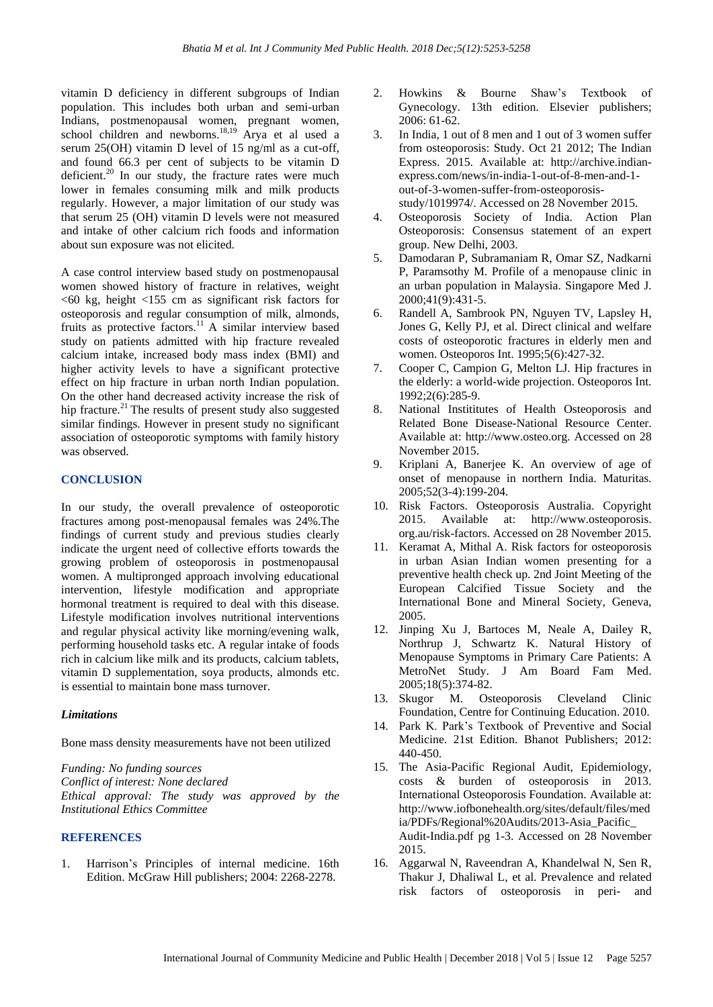vitamin D deficiency in different subgroups of Indian population. This includes both urban and semi-urban Indians, postmenopausal women, pregnant women, school children and newborns.<sup>18,19</sup> Arya et al used a serum 25(OH) vitamin D level of 15 ng/ml as a cut-off, and found 66.3 per cent of subjects to be vitamin D deficient.<sup>20</sup> In our study, the fracture rates were much lower in females consuming milk and milk products regularly. However, a major limitation of our study was that serum 25 (OH) vitamin D levels were not measured and intake of other calcium rich foods and information about sun exposure was not elicited.

A case control interview based study on postmenopausal women showed history of fracture in relatives, weight  $<$  60 kg, height  $<$  155 cm as significant risk factors for osteoporosis and regular consumption of milk, almonds, fruits as protective factors.<sup>11</sup> A similar interview based study on patients admitted with hip fracture revealed calcium intake, increased body mass index (BMI) and higher activity levels to have a significant protective effect on hip fracture in urban north Indian population. On the other hand decreased activity increase the risk of hip fracture.<sup>21</sup> The results of present study also suggested similar findings. However in present study no significant association of osteoporotic symptoms with family history was observed.

#### **CONCLUSION**

In our study, the overall prevalence of osteoporotic fractures among post-menopausal females was 24%.The findings of current study and previous studies clearly indicate the urgent need of collective efforts towards the growing problem of osteoporosis in postmenopausal women. A multipronged approach involving educational intervention, lifestyle modification and appropriate hormonal treatment is required to deal with this disease. Lifestyle modification involves nutritional interventions and regular physical activity like morning/evening walk, performing household tasks etc. A regular intake of foods rich in calcium like milk and its products, calcium tablets, vitamin D supplementation, soya products, almonds etc. is essential to maintain bone mass turnover.

#### *Limitations*

Bone mass density measurements have not been utilized

*Funding: No funding sources Conflict of interest: None declared Ethical approval: The study was approved by the Institutional Ethics Committee*

#### **REFERENCES**

1. Harrison's Principles of internal medicine. 16th Edition. McGraw Hill publishers; 2004: 2268-2278.

- 2. Howkins & Bourne Shaw's Textbook of Gynecology. 13th edition. Elsevier publishers; 2006: 61-62.
- 3. In India, 1 out of 8 men and 1 out of 3 women suffer from osteoporosis: Study. Oct 21 2012; The Indian Express. 2015. Available at: http://archive.indianexpress.com/news/in-india-1-out-of-8-men-and-1 out-of-3-women-suffer-from-osteoporosisstudy/1019974/. Accessed on 28 November 2015.
- 4. Osteoporosis Society of India. Action Plan Osteoporosis: Consensus statement of an expert group. New Delhi, 2003.
- 5. Damodaran P, Subramaniam R, Omar SZ, Nadkarni P, Paramsothy M. Profile of a menopause clinic in an urban population in Malaysia. Singapore Med J. 2000;41(9):431-5.
- 6. Randell A, Sambrook PN, Nguyen TV, Lapsley H, Jones G, Kelly PJ, et al. Direct clinical and welfare costs of osteoporotic fractures in elderly men and women. Osteoporos Int. 1995;5(6):427-32.
- 7. Cooper C, Campion G, Melton LJ. Hip fractures in the elderly: a world-wide projection. Osteoporos Int. 1992;2(6):285-9.
- 8. National Instititutes of Health Osteoporosis and Related Bone Disease-National Resource Center. Available at: http://www.osteo.org. Accessed on 28 November 2015.
- 9. Kriplani A, Banerjee K. An overview of age of onset of menopause in northern India. Maturitas. 2005;52(3-4):199-204.
- 10. Risk Factors. Osteoporosis Australia. Copyright 2015. Available at: http://www.osteoporosis. org.au/risk-factors. Accessed on 28 November 2015.
- 11. Keramat A, Mithal A. Risk factors for osteoporosis in urban Asian Indian women presenting for a preventive health check up. 2nd Joint Meeting of the European Calcified Tissue Society and the International Bone and Mineral Society, Geneva, 2005.
- 12. Jinping Xu J, Bartoces M, Neale A, Dailey R, Northrup J, Schwartz K. Natural History of Menopause Symptoms in Primary Care Patients: A MetroNet Study. J Am Board Fam Med. 2005;18(5):374-82.
- 13. Skugor M. Osteoporosis Cleveland Clinic Foundation, Centre for Continuing Education. 2010.
- 14. Park K. Park's Textbook of Preventive and Social Medicine. 21st Edition. Bhanot Publishers; 2012: 440-450.
- 15. The Asia-Pacific Regional Audit, Epidemiology, costs & burden of osteoporosis in 2013. International Osteoporosis Foundation. Available at: http://www.iofbonehealth.org/sites/default/files/med ia/PDFs/Regional%20Audits/2013-Asia\_Pacific\_ Audit-India.pdf pg 1-3. Accessed on 28 November 2015.
- 16. Aggarwal N, Raveendran A, Khandelwal N, Sen R, Thakur J, Dhaliwal L, et al. Prevalence and related risk factors of osteoporosis in peri- and